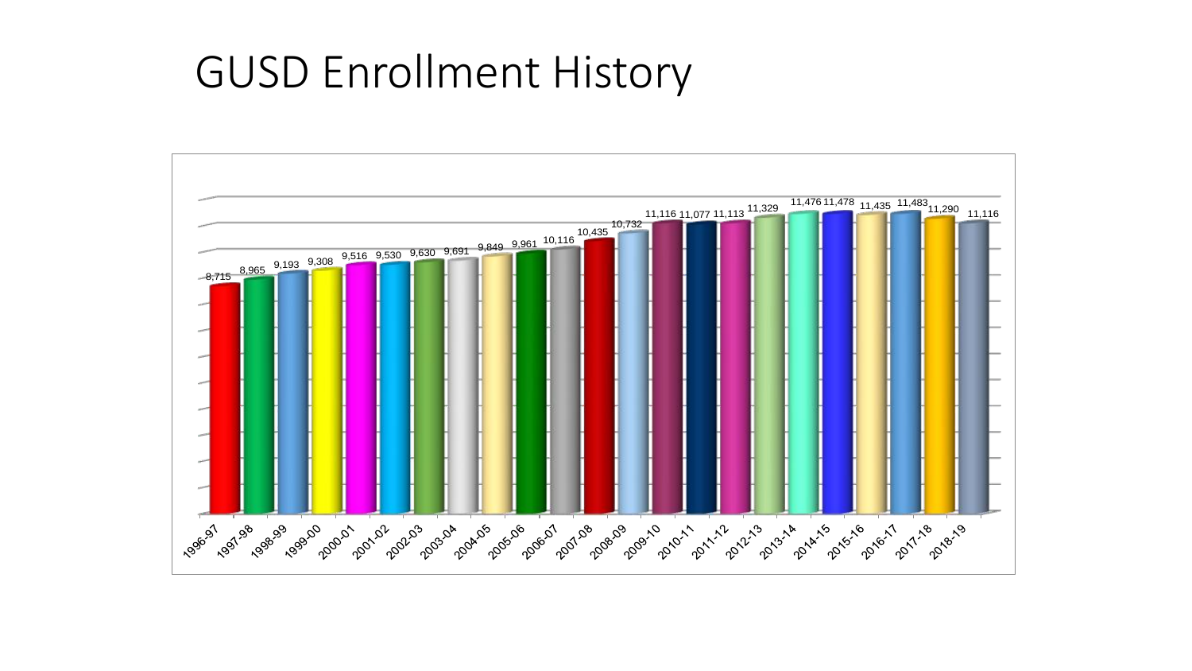## GUSD Enrollment History

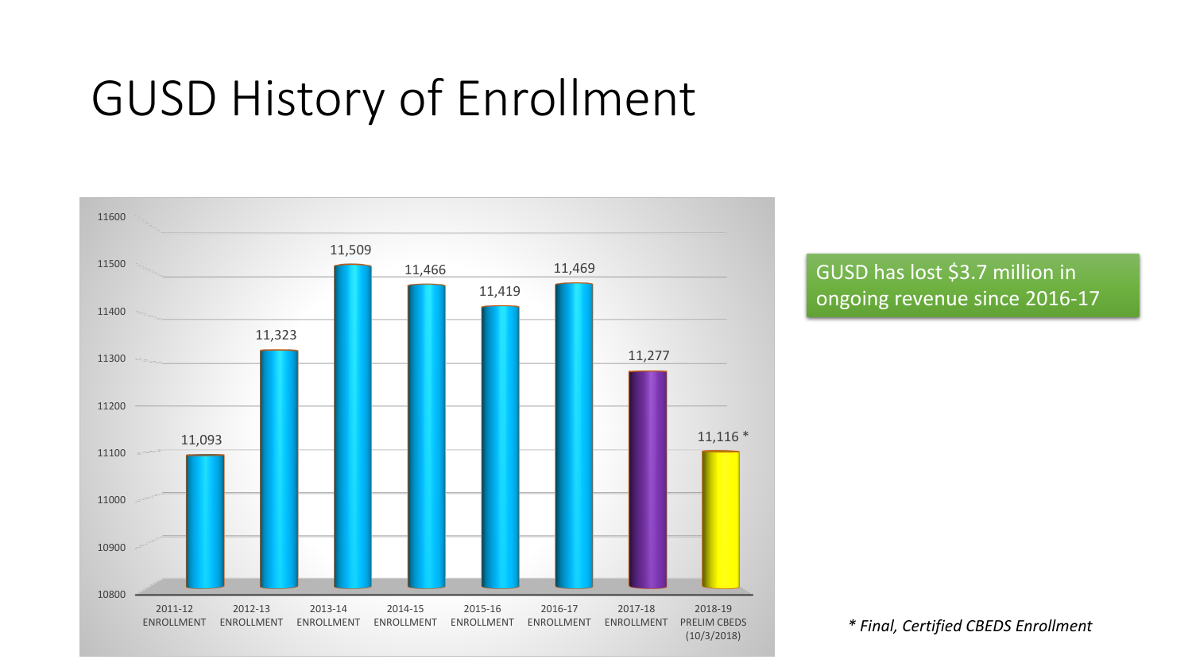## GUSD History of Enrollment



GUSD has lost \$3.7 million in ongoing revenue since 2016-17

*\* Final, Certified CBEDS Enrollment*